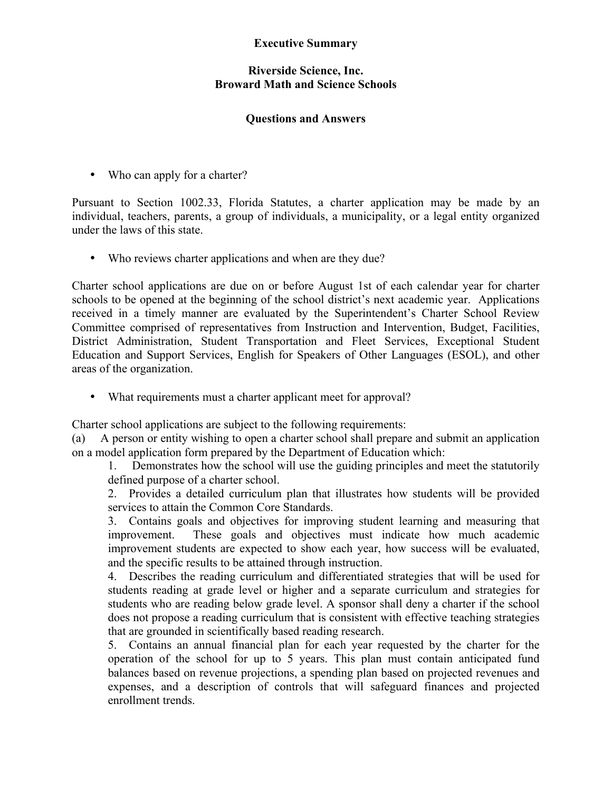## **Executive Summary**

## **Riverside Science, Inc. Broward Math and Science Schools**

## **Questions and Answers**

• Who can apply for a charter?

Pursuant to Section 1002.33, Florida Statutes, a charter application may be made by an individual, teachers, parents, a group of individuals, a municipality, or a legal entity organized under the laws of this state.

• Who reviews charter applications and when are they due?

Charter school applications are due on or before August 1st of each calendar year for charter schools to be opened at the beginning of the school district's next academic year. Applications received in a timely manner are evaluated by the Superintendent's Charter School Review Committee comprised of representatives from Instruction and Intervention, Budget, Facilities, District Administration, Student Transportation and Fleet Services, Exceptional Student Education and Support Services, English for Speakers of Other Languages (ESOL), and other areas of the organization.

• What requirements must a charter applicant meet for approval?

Charter school applications are subject to the following requirements:

(a) A person or entity wishing to open a charter school shall prepare and submit an application on a model application form prepared by the Department of Education which:

1. Demonstrates how the school will use the guiding principles and meet the statutorily defined purpose of a charter school.

2. Provides a detailed curriculum plan that illustrates how students will be provided services to attain the Common Core Standards.

3. Contains goals and objectives for improving student learning and measuring that improvement. These goals and objectives must indicate how much academic improvement students are expected to show each year, how success will be evaluated, and the specific results to be attained through instruction.

4. Describes the reading curriculum and differentiated strategies that will be used for students reading at grade level or higher and a separate curriculum and strategies for students who are reading below grade level. A sponsor shall deny a charter if the school does not propose a reading curriculum that is consistent with effective teaching strategies that are grounded in scientifically based reading research.

5. Contains an annual financial plan for each year requested by the charter for the operation of the school for up to 5 years. This plan must contain anticipated fund balances based on revenue projections, a spending plan based on projected revenues and expenses, and a description of controls that will safeguard finances and projected enrollment trends.